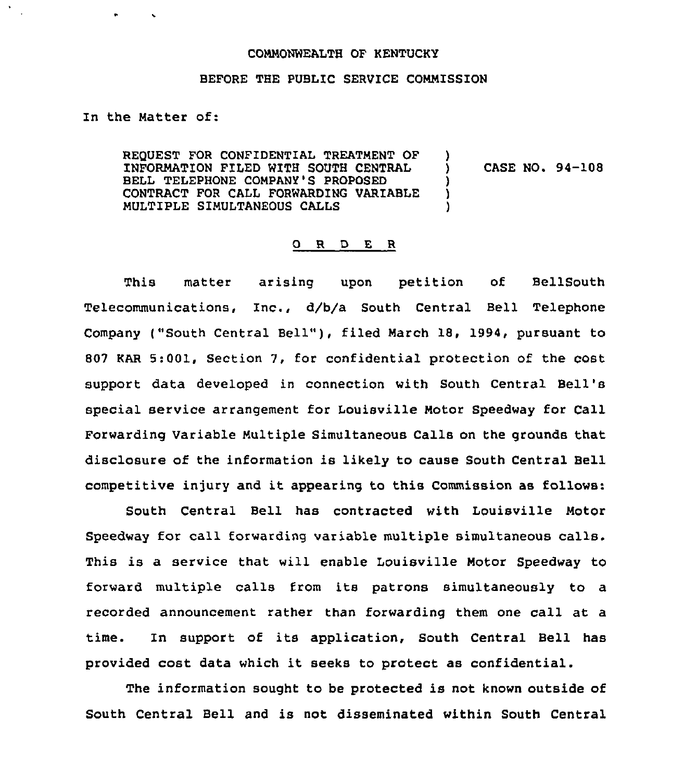## COMMONWEALTH OF KENTUCKY

## BEFORE THE PUBLIC SERVICE COMMISSION

In the Matter of:

 $\bullet$  .

REQUEST FOR CONFIDENTIAL TREATMENT OF INFORMATION FILED WITH SOUTH CENTRAL BELL TELEPHONE COMPANY'S PROPOSED CONTRACT FOR CALL FORWARDING VARIABLE MULTIPLE SIMULTANEOUS CALLS  $\sum_{i=1}^{n}$ ) CASE NO. 94-108 ) ) )

## ORDER

This matter arising upon petition of BellSouth Telecommunications, Inc., d/b/a South Central Bell Telephone Company ("South Central Bell" ), filed March 18, 1994, pursuant to 807 KAR 5:001, Section 7, for confidential protection of the cost support data developed in connection with South Central Bell' special service arrangement for louisville Motor Speedway for Call Forwarding Variable Multiple Simultaneous Calls on the grounds that disclosure of the information is likely to cause South Central Bell competitive injury and it appearing to this Commission as follows:

South Central Bell has contracted with Louisville Motor Speedway for call forwarding variable multiple simultaneous calls. This is a service that will enable Louisville Motor Speedway to forward multiple calls from its patrons simultaneously to a recorded announcement rather than forwarding them one call at a time. In support of its application, South Central Bell has provided cost data which it seeks to protect as confidential.

The information sought to be protected is not known outside of South Central Bell and is not disseminated within South Central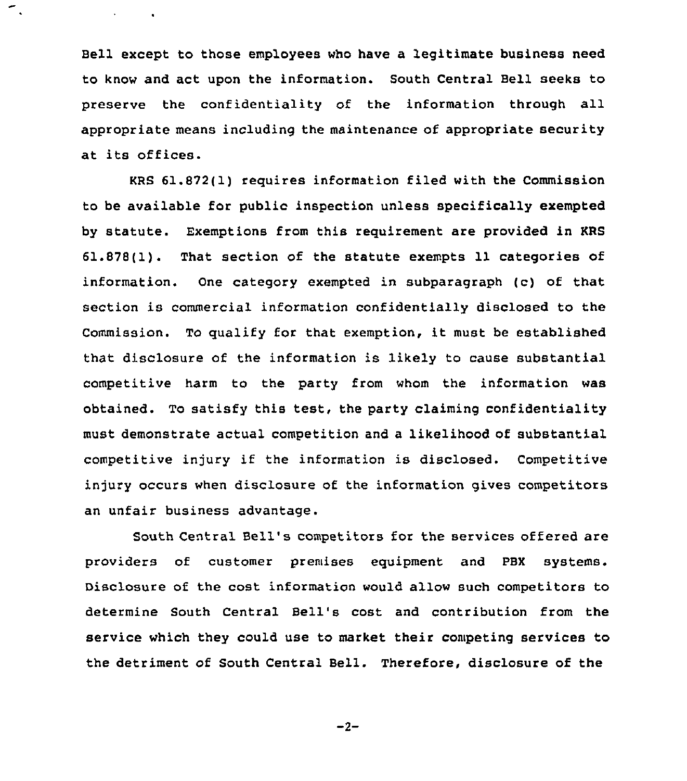Bell except to those employees who have a legitimate business need to know and act upon the information. South Central Bell seeks to preserve the confidentiality of the information through all appropriate means including the maintenance of appropriate security at its offices.

 $\mathcal{L}_{\text{max}}$  and  $\mathcal{L}_{\text{max}}$ 

KRS 61.872(1) requires information filed with the Commission to be available for public inspection unless specifically exempted by statute. Exemptions from this requirement are provided in KRS 61.878(1). That section of the statute exempts 11 categories of information. One category exempted in subparagraph (c) of that section is commercial information confidentially disclosed to the Commission. To qualify for that exemption, it must be established that disclosure of the information is likely to cause substantial competitive harm to the party from whom the information was obtained. To satisfy this test, the party claiming confidentiality must demonstrate actual competition and a likelihood of substantial competitive injury if the information is disclosed. Competitive injury occurs when disclosure of the information gives competitors an unfair business advantage.

South Central Bell's competitors for the services offered are providers of customer premises equipment and PBX systems. Disclosure of the cost information would allow such competitors to determine South Central Bell's cost and contribution from the service which they could use to market their competing services to the detriment of South Central Bell. Therefore, disclosure of the

 $-2-$